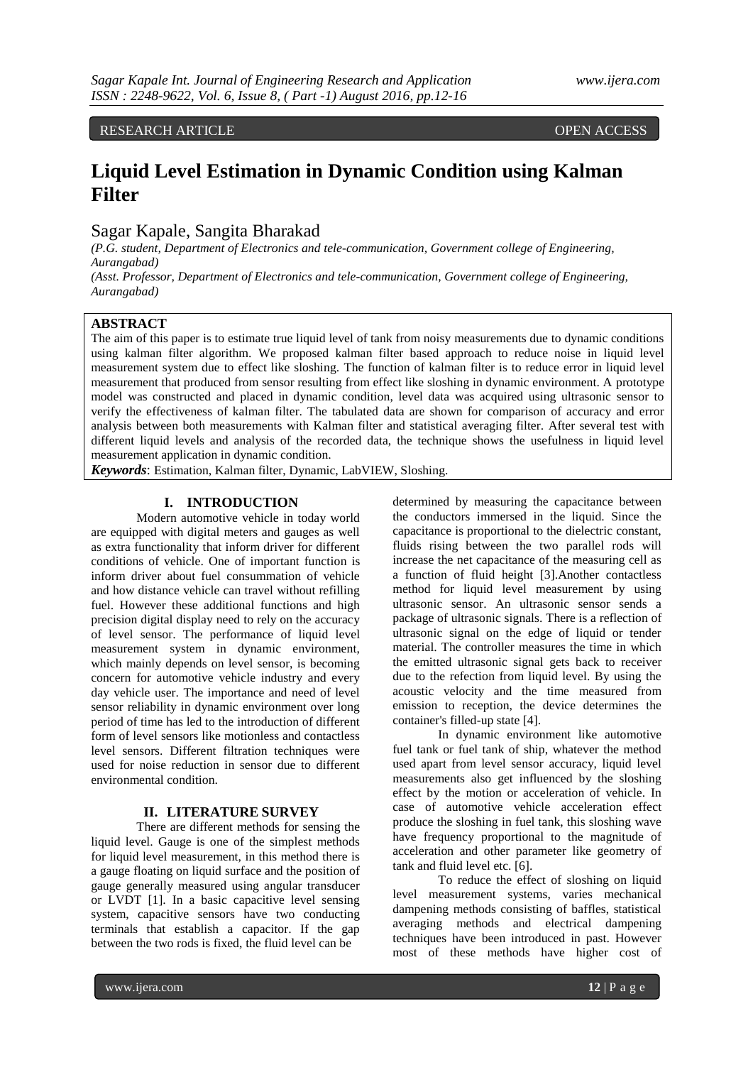RESEARCH ARTICLE OPEN ACCESS

# **Liquid Level Estimation in Dynamic Condition using Kalman Filter**

# Sagar Kapale, Sangita Bharakad

*(P.G. student, Department of Electronics and tele-communication, Government college of Engineering, Aurangabad)*

*(Asst. Professor, Department of Electronics and tele-communication, Government college of Engineering, Aurangabad)*

## **ABSTRACT**

The aim of this paper is to estimate true liquid level of tank from noisy measurements due to dynamic conditions using kalman filter algorithm. We proposed kalman filter based approach to reduce noise in liquid level measurement system due to effect like sloshing. The function of kalman filter is to reduce error in liquid level measurement that produced from sensor resulting from effect like sloshing in dynamic environment. A prototype model was constructed and placed in dynamic condition, level data was acquired using ultrasonic sensor to verify the effectiveness of kalman filter. The tabulated data are shown for comparison of accuracy and error analysis between both measurements with Kalman filter and statistical averaging filter. After several test with different liquid levels and analysis of the recorded data, the technique shows the usefulness in liquid level measurement application in dynamic condition.

*Keywords*: Estimation, Kalman filter, Dynamic, LabVIEW, Sloshing.

# **I. INTRODUCTION**

Modern automotive vehicle in today world are equipped with digital meters and gauges as well as extra functionality that inform driver for different conditions of vehicle. One of important function is inform driver about fuel consummation of vehicle and how distance vehicle can travel without refilling fuel. However these additional functions and high precision digital display need to rely on the accuracy of level sensor. The performance of liquid level measurement system in dynamic environment, which mainly depends on level sensor, is becoming concern for automotive vehicle industry and every day vehicle user. The importance and need of level sensor reliability in dynamic environment over long period of time has led to the introduction of different form of level sensors like motionless and contactless level sensors. Different filtration techniques were used for noise reduction in sensor due to different environmental condition.

## **II. LITERATURE SURVEY**

There are different methods for sensing the liquid level. Gauge is one of the simplest methods for liquid level measurement, in this method there is a gauge floating on liquid surface and the position of gauge generally measured using angular transducer or LVDT [1]. In a basic capacitive level sensing system, capacitive sensors have two conducting terminals that establish a capacitor. If the gap between the two rods is fixed, the fluid level can be

determined by measuring the capacitance between the conductors immersed in the liquid. Since the capacitance is proportional to the dielectric constant, fluids rising between the two parallel rods will increase the net capacitance of the measuring cell as a function of fluid height [3].Another contactless method for liquid level measurement by using ultrasonic sensor. An ultrasonic sensor sends a package of ultrasonic signals. There is a reflection of ultrasonic signal on the edge of liquid or tender material. The controller measures the time in which the emitted ultrasonic signal gets back to receiver due to the refection from liquid level. By using the acoustic velocity and the time measured from emission to reception, the device determines the container's filled-up state [4].

In dynamic environment like automotive fuel tank or fuel tank of ship, whatever the method used apart from level sensor accuracy, liquid level measurements also get influenced by the sloshing effect by the motion or acceleration of vehicle. In case of automotive vehicle acceleration effect produce the sloshing in fuel tank, this sloshing wave have frequency proportional to the magnitude of acceleration and other parameter like geometry of tank and fluid level etc. [6].

To reduce the effect of sloshing on liquid level measurement systems, varies mechanical dampening methods consisting of baffles, statistical averaging methods and electrical dampening techniques have been introduced in past. However most of these methods have higher cost of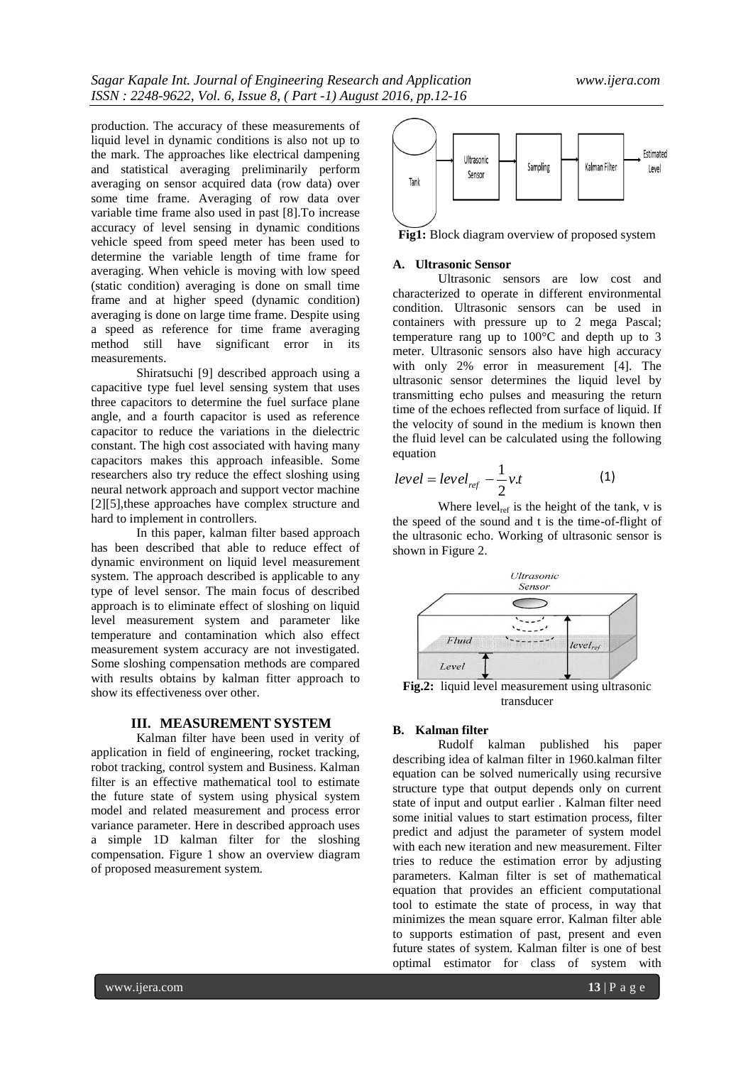production. The accuracy of these measurements of liquid level in dynamic conditions is also not up to the mark. The approaches like electrical dampening and statistical averaging preliminarily perform averaging on sensor acquired data (row data) over some time frame. Averaging of row data over variable time frame also used in past [8].To increase accuracy of level sensing in dynamic conditions vehicle speed from speed meter has been used to determine the variable length of time frame for averaging. When vehicle is moving with low speed (static condition) averaging is done on small time frame and at higher speed (dynamic condition) averaging is done on large time frame. Despite using a speed as reference for time frame averaging method still have significant error in its measurements.

Shiratsuchi [9] described approach using a capacitive type fuel level sensing system that uses three capacitors to determine the fuel surface plane angle, and a fourth capacitor is used as reference capacitor to reduce the variations in the dielectric constant. The high cost associated with having many capacitors makes this approach infeasible. Some researchers also try reduce the effect sloshing using neural network approach and support vector machine [2][5],these approaches have complex structure and hard to implement in controllers.

In this paper, kalman filter based approach has been described that able to reduce effect of dynamic environment on liquid level measurement system. The approach described is applicable to any type of level sensor. The main focus of described approach is to eliminate effect of sloshing on liquid level measurement system and parameter like temperature and contamination which also effect measurement system accuracy are not investigated. Some sloshing compensation methods are compared with results obtains by kalman fitter approach to show its effectiveness over other.

#### **III. MEASUREMENT SYSTEM**

Kalman filter have been used in verity of application in field of engineering, rocket tracking, robot tracking, control system and Business. Kalman filter is an effective mathematical tool to estimate the future state of system using physical system model and related measurement and process error variance parameter. Here in described approach uses a simple 1D kalman filter for the sloshing compensation. Figure 1 show an overview diagram of proposed measurement system.



**Fig1:** Block diagram overview of proposed system

#### **A. Ultrasonic Sensor**

Ultrasonic sensors are low cost and characterized to operate in different environmental condition. Ultrasonic sensors can be used in containers with pressure up to 2 mega Pascal; temperature rang up to 100°C and depth up to 3 meter. Ultrasonic sensors also have high accuracy with only 2% error in measurement [4]. The ultrasonic sensor determines the liquid level by transmitting echo pulses and measuring the return time of the echoes reflected from surface of liquid. If the velocity of sound in the medium is known then the fluid level can be calculated using the following equation

$$
level = level_{ref} - \frac{1}{2}v.t
$$
 (1)

Where  $level_{ref}$  is the height of the tank, v is the speed of the sound and t is the time-of-flight of the ultrasonic echo. Working of ultrasonic sensor is shown in Figure 2.



**Fig.2:** liquid level measurement using ultrasonic transducer

#### **B. Kalman filter**

Rudolf kalman published his paper describing idea of kalman filter in 1960.kalman filter equation can be solved numerically using recursive structure type that output depends only on current state of input and output earlier . Kalman filter need some initial values to start estimation process, filter predict and adjust the parameter of system model with each new iteration and new measurement. Filter tries to reduce the estimation error by adjusting parameters. Kalman filter is set of mathematical equation that provides an efficient computational tool to estimate the state of process, in way that minimizes the mean square error. Kalman filter able to supports estimation of past, present and even future states of system. Kalman filter is one of best optimal estimator for class of system with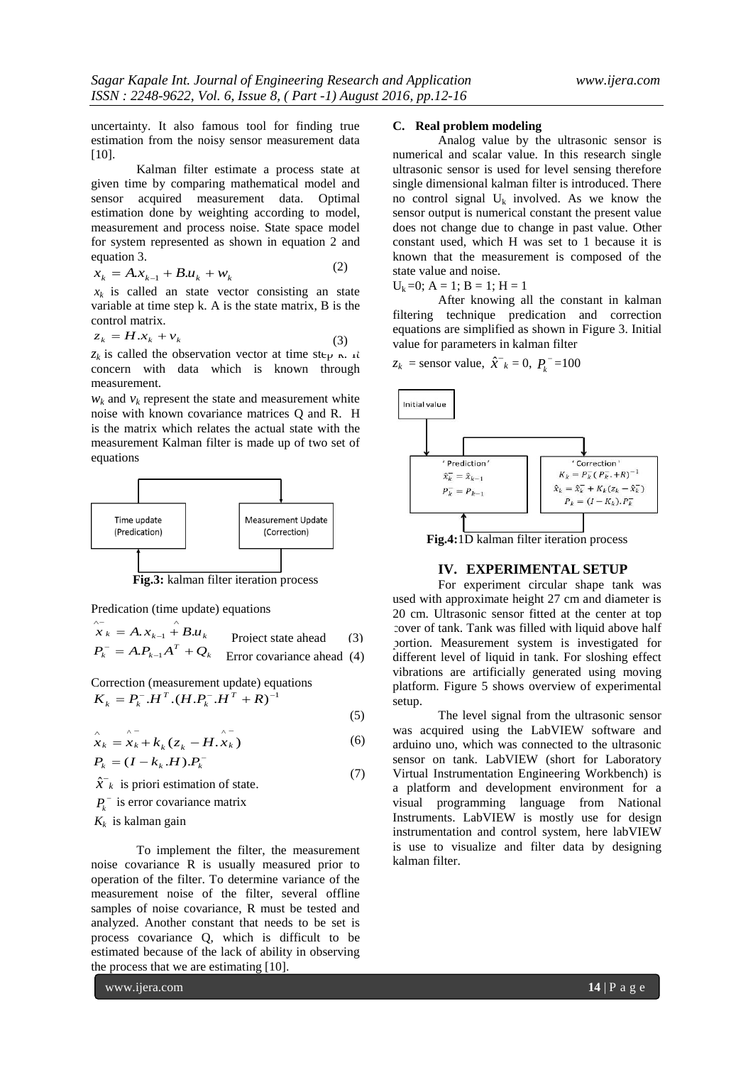uncertainty. It also famous tool for finding true estimation from the noisy sensor measurement data [10].

Kalman filter estimate a process state at given time by comparing mathematical model and sensor acquired measurement data. Optimal estimation done by weighting according to model, measurement and process noise. State space model for system represented as shown in equation 2 and equation 3.

$$
x_k = A x_{k-1} + B u_k + w_k \tag{2}
$$

 $x_k$  is called an state vector consisting an state variable at time step k. A is the state matrix, B is the control matrix.

$$
z_k = H.x_k + v_k \tag{3}
$$

 $z_k$  is called the observation vector at time step  $\kappa$ . It concern with data which is known through measurement.

 $w_k$  and  $v_k$  represent the state and measurement white noise with known covariance matrices Q and R. H is the matrix which relates the actual state with the measurement Kalman filter is made up of two set of equations



**Fig.3:** kalman filter iteration process

Predication (time update) equations

$$
\hat{x}_k = A \cdot x_{k-1} + B \cdot u_k
$$
 Project state ahead (3)  

$$
P_k^- = A \cdot P_{k-1} A^T + Q_k
$$
 Error covariance ahead (4)

Correction (measurement update) equations

$$
K_{k} = P_{k}^{-}.H^{T}.(H.P_{k}^{-}.H^{T} + R)^{-1}
$$

$$
\hat{x}_k = \hat{x}_k + k_k (z_k - H \cdot \hat{x}_k)
$$
\n(6)

(5)

$$
P_k = (I - k_k \cdot H) \cdot P_k \tag{7}
$$

 $\hat{x}$ <sup>-</sup> $_k$  is priori estimation of state.

 $P_k$ <sup>-</sup> is error covariance matrix

 $K_k$  is kalman gain

To implement the filter, the measurement noise covariance R is usually measured prior to operation of the filter. To determine variance of the measurement noise of the filter, several offline samples of noise covariance, R must be tested and analyzed. Another constant that needs to be set is process covariance Q, which is difficult to be estimated because of the lack of ability in observing the process that we are estimating [10].

# **C. Real problem modeling**

Analog value by the ultrasonic sensor is numerical and scalar value. In this research single ultrasonic sensor is used for level sensing therefore single dimensional kalman filter is introduced. There no control signal  $U_k$  involved. As we know the sensor output is numerical constant the present value does not change due to change in past value. Other constant used, which H was set to 1 because it is known that the measurement is composed of the state value and noise.

 $U_k = 0$ ;  $A = 1$ ;  $B = 1$ ;  $H = 1$ 

After knowing all the constant in kalman filtering technique predication and correction equations are simplified as shown in Figure 3. Initial value for parameters in kalman filter

 $z_k$  = sensor value,  $\hat{x}^-_k = 0$ ,  $P_k^- = 100$ 



**Fig.4:**1D kalman filter iteration process

### **IV. EXPERIMENTAL SETUP**

For experiment circular shape tank was used with approximate height 27 cm and diameter is 20 cm. Ultrasonic sensor fitted at the center at top cover of tank. Tank was filled with liquid above half portion. Measurement system is investigated for different level of liquid in tank. For sloshing effect vibrations are artificially generated using moving platform. Figure 5 shows overview of experimental setup.

The level signal from the ultrasonic sensor was acquired using the LabVIEW software and arduino uno, which was connected to the ultrasonic sensor on tank. LabVIEW (short for Laboratory Virtual Instrumentation Engineering Workbench) is a platform and development environment for a visual programming language from National Instruments. LabVIEW is mostly use for design instrumentation and control system, here labVIEW is use to visualize and filter data by designing kalman filter.

www.ijera.com **14** | P a g e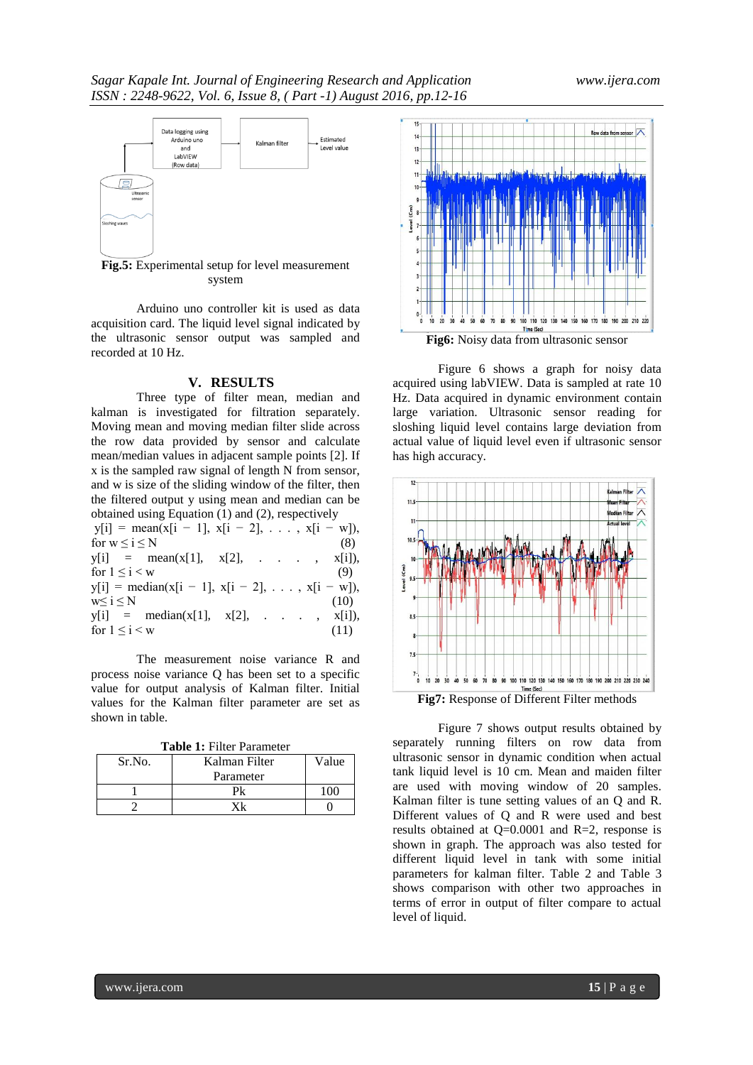

**Fig.5:** Experimental setup for level measurement system

Arduino uno controller kit is used as data acquisition card. The liquid level signal indicated by the ultrasonic sensor output was sampled and recorded at 10 Hz.

#### **V. RESULTS**

Three type of filter mean, median and kalman is investigated for filtration separately. Moving mean and moving median filter slide across the row data provided by sensor and calculate mean/median values in adjacent sample points [2]. If x is the sampled raw signal of length N from sensor, and w is size of the sliding window of the filter, then the filtered output y using mean and median can be obtained using Equation (1) and (2), respectively  $y[i] = \text{mean}(x[i - 1], x[i - 2], \ldots, x[i - w]),$ for  $w \le i \le N$  (8)  $y[i] = \text{mean}(x[1], x[2], \dots, x[i]),$ for  $1 \le i < w$  (9)  $y[i] = median(x[i - 1], x[i - 2], \ldots, x[i - w]),$  $w\leq i \leq N$  (10)  $y[i]$  = median(x[1], x[2], . . , x[i]), for  $1 \le i \le w$  (11)

The measurement noise variance R and process noise variance Q has been set to a specific value for output analysis of Kalman filter. Initial values for the Kalman filter parameter are set as shown in table.

| <b>Table 1: Filter Parameter</b> |  |
|----------------------------------|--|
|----------------------------------|--|

| Sr.No. | Kalman Filter | Value |
|--------|---------------|-------|
|        | Parameter     |       |
|        |               |       |
|        |               |       |



Figure 6 shows a graph for noisy data acquired using labVIEW. Data is sampled at rate 10 Hz. Data acquired in dynamic environment contain large variation. Ultrasonic sensor reading for sloshing liquid level contains large deviation from actual value of liquid level even if ultrasonic sensor has high accuracy.



**Fig7:** Response of Different Filter methods

Figure 7 shows output results obtained by separately running filters on row data from ultrasonic sensor in dynamic condition when actual tank liquid level is 10 cm. Mean and maiden filter are used with moving window of 20 samples. Kalman filter is tune setting values of an Q and R. Different values of Q and R were used and best results obtained at Q=0.0001 and R=2, response is shown in graph. The approach was also tested for different liquid level in tank with some initial parameters for kalman filter. Table 2 and Table 3 shows comparison with other two approaches in terms of error in output of filter compare to actual level of liquid.